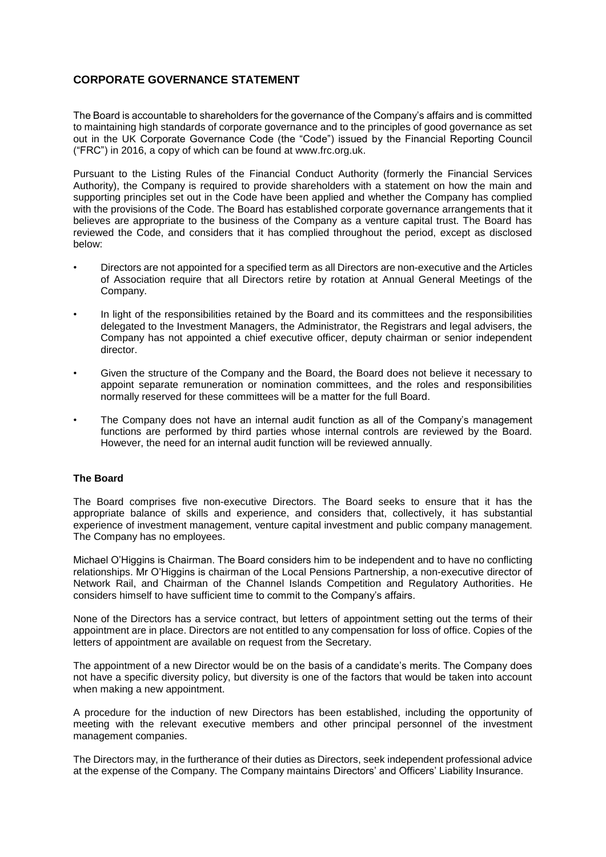# **CORPORATE GOVERNANCE STATEMENT**

The Board is accountable to shareholders for the governance of the Company's affairs and is committed to maintaining high standards of corporate governance and to the principles of good governance as set out in the UK Corporate Governance Code (the "Code") issued by the Financial Reporting Council ("FRC") in 2016, a copy of which can be found at www.frc.org.uk.

Pursuant to the Listing Rules of the Financial Conduct Authority (formerly the Financial Services Authority), the Company is required to provide shareholders with a statement on how the main and supporting principles set out in the Code have been applied and whether the Company has complied with the provisions of the Code. The Board has established corporate governance arrangements that it believes are appropriate to the business of the Company as a venture capital trust. The Board has reviewed the Code, and considers that it has complied throughout the period, except as disclosed below:

- Directors are not appointed for a specified term as all Directors are non-executive and the Articles of Association require that all Directors retire by rotation at Annual General Meetings of the Company.
- In light of the responsibilities retained by the Board and its committees and the responsibilities delegated to the Investment Managers, the Administrator, the Registrars and legal advisers, the Company has not appointed a chief executive officer, deputy chairman or senior independent director.
- Given the structure of the Company and the Board, the Board does not believe it necessary to appoint separate remuneration or nomination committees, and the roles and responsibilities normally reserved for these committees will be a matter for the full Board.
- The Company does not have an internal audit function as all of the Company's management functions are performed by third parties whose internal controls are reviewed by the Board. However, the need for an internal audit function will be reviewed annually.

# **The Board**

The Board comprises five non-executive Directors. The Board seeks to ensure that it has the appropriate balance of skills and experience, and considers that, collectively, it has substantial experience of investment management, venture capital investment and public company management. The Company has no employees.

Michael O'Higgins is Chairman. The Board considers him to be independent and to have no conflicting relationships. Mr O'Higgins is chairman of the Local Pensions Partnership, a non-executive director of Network Rail, and Chairman of the Channel Islands Competition and Regulatory Authorities. He considers himself to have sufficient time to commit to the Company's affairs.

None of the Directors has a service contract, but letters of appointment setting out the terms of their appointment are in place. Directors are not entitled to any compensation for loss of office. Copies of the letters of appointment are available on request from the Secretary.

The appointment of a new Director would be on the basis of a candidate's merits. The Company does not have a specific diversity policy, but diversity is one of the factors that would be taken into account when making a new appointment.

A procedure for the induction of new Directors has been established, including the opportunity of meeting with the relevant executive members and other principal personnel of the investment management companies.

The Directors may, in the furtherance of their duties as Directors, seek independent professional advice at the expense of the Company. The Company maintains Directors' and Officers' Liability Insurance.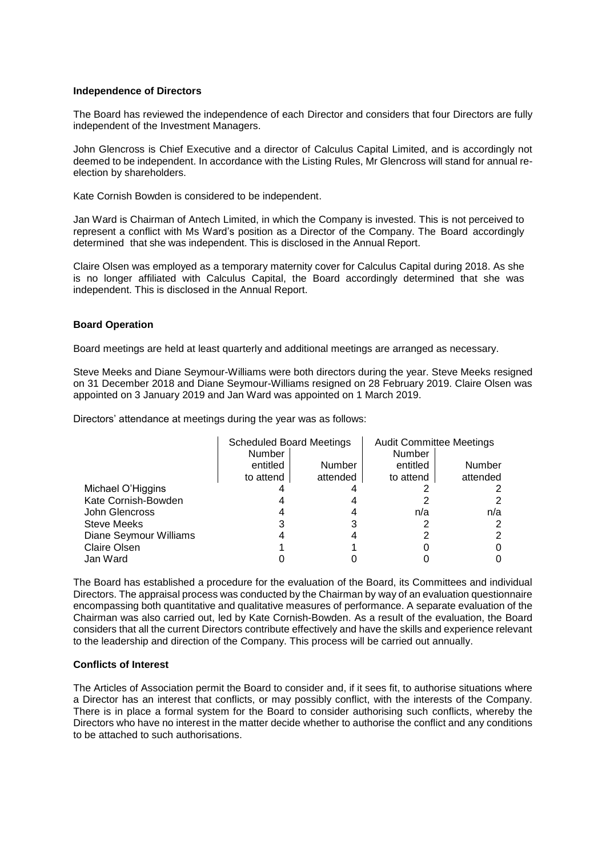### **Independence of Directors**

The Board has reviewed the independence of each Director and considers that four Directors are fully independent of the Investment Managers.

John Glencross is Chief Executive and a director of Calculus Capital Limited, and is accordingly not deemed to be independent. In accordance with the Listing Rules, Mr Glencross will stand for annual reelection by shareholders.

Kate Cornish Bowden is considered to be independent.

Jan Ward is Chairman of Antech Limited, in which the Company is invested. This is not perceived to represent a conflict with Ms Ward's position as a Director of the Company. The Board accordingly determined that she was independent. This is disclosed in the Annual Report.

Claire Olsen was employed as a temporary maternity cover for Calculus Capital during 2018. As she is no longer affiliated with Calculus Capital, the Board accordingly determined that she was independent. This is disclosed in the Annual Report.

# **Board Operation**

Board meetings are held at least quarterly and additional meetings are arranged as necessary.

Steve Meeks and Diane Seymour-Williams were both directors during the year. Steve Meeks resigned on 31 December 2018 and Diane Seymour-Williams resigned on 28 February 2019. Claire Olsen was appointed on 3 January 2019 and Jan Ward was appointed on 1 March 2019.

Directors' attendance at meetings during the year was as follows:

|                        | <b>Scheduled Board Meetings</b> |          | <b>Audit Committee Meetings</b> |          |
|------------------------|---------------------------------|----------|---------------------------------|----------|
|                        | Number                          |          | Number                          |          |
|                        | entitled                        | Number   | entitled                        | Number   |
|                        | to attend                       | attended | to attend                       | attended |
| Michael O'Higgins      |                                 |          |                                 |          |
| Kate Cornish-Bowden    |                                 |          |                                 |          |
| John Glencross         |                                 |          | n/a                             | n/a      |
| <b>Steve Meeks</b>     |                                 | 3        |                                 |          |
| Diane Seymour Williams |                                 |          |                                 |          |
| <b>Claire Olsen</b>    |                                 |          |                                 |          |
| Jan Ward               |                                 |          |                                 |          |

The Board has established a procedure for the evaluation of the Board, its Committees and individual Directors. The appraisal process was conducted by the Chairman by way of an evaluation questionnaire encompassing both quantitative and qualitative measures of performance. A separate evaluation of the Chairman was also carried out, led by Kate Cornish-Bowden. As a result of the evaluation, the Board considers that all the current Directors contribute effectively and have the skills and experience relevant to the leadership and direction of the Company. This process will be carried out annually.

# **Conflicts of Interest**

The Articles of Association permit the Board to consider and, if it sees fit, to authorise situations where a Director has an interest that conflicts, or may possibly conflict, with the interests of the Company. There is in place a formal system for the Board to consider authorising such conflicts, whereby the Directors who have no interest in the matter decide whether to authorise the conflict and any conditions to be attached to such authorisations.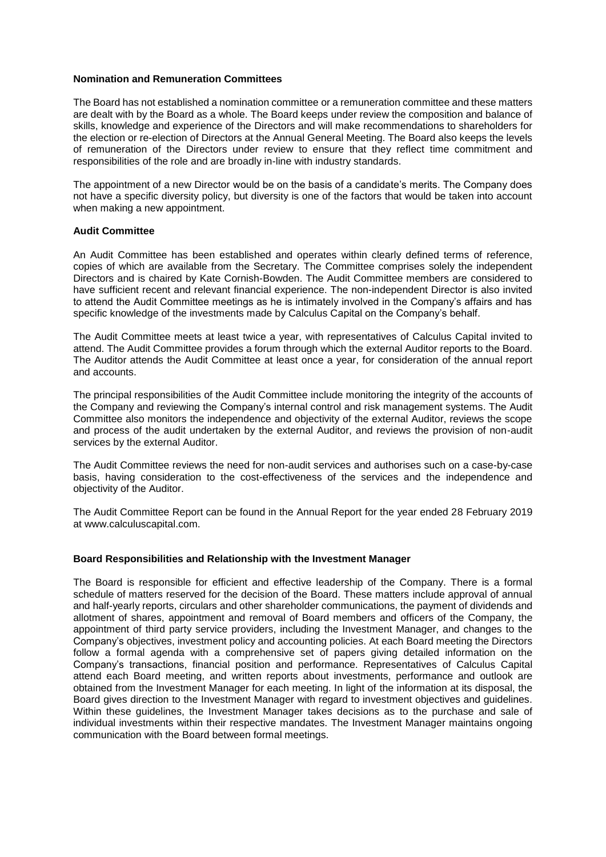# **Nomination and Remuneration Committees**

The Board has not established a nomination committee or a remuneration committee and these matters are dealt with by the Board as a whole. The Board keeps under review the composition and balance of skills, knowledge and experience of the Directors and will make recommendations to shareholders for the election or re-election of Directors at the Annual General Meeting. The Board also keeps the levels of remuneration of the Directors under review to ensure that they reflect time commitment and responsibilities of the role and are broadly in-line with industry standards.

The appointment of a new Director would be on the basis of a candidate's merits. The Company does not have a specific diversity policy, but diversity is one of the factors that would be taken into account when making a new appointment.

#### **Audit Committee**

An Audit Committee has been established and operates within clearly defined terms of reference, copies of which are available from the Secretary. The Committee comprises solely the independent Directors and is chaired by Kate Cornish-Bowden. The Audit Committee members are considered to have sufficient recent and relevant financial experience. The non-independent Director is also invited to attend the Audit Committee meetings as he is intimately involved in the Company's affairs and has specific knowledge of the investments made by Calculus Capital on the Company's behalf.

The Audit Committee meets at least twice a year, with representatives of Calculus Capital invited to attend. The Audit Committee provides a forum through which the external Auditor reports to the Board. The Auditor attends the Audit Committee at least once a year, for consideration of the annual report and accounts.

The principal responsibilities of the Audit Committee include monitoring the integrity of the accounts of the Company and reviewing the Company's internal control and risk management systems. The Audit Committee also monitors the independence and objectivity of the external Auditor, reviews the scope and process of the audit undertaken by the external Auditor, and reviews the provision of non-audit services by the external Auditor.

The Audit Committee reviews the need for non-audit services and authorises such on a case-by-case basis, having consideration to the cost-effectiveness of the services and the independence and objectivity of the Auditor.

The Audit Committee Report can be found in the Annual Report for the year ended 28 February 2019 at www.calculuscapital.com.

# **Board Responsibilities and Relationship with the Investment Manager**

The Board is responsible for efficient and effective leadership of the Company. There is a formal schedule of matters reserved for the decision of the Board. These matters include approval of annual and half-yearly reports, circulars and other shareholder communications, the payment of dividends and allotment of shares, appointment and removal of Board members and officers of the Company, the appointment of third party service providers, including the Investment Manager, and changes to the Company's objectives, investment policy and accounting policies. At each Board meeting the Directors follow a formal agenda with a comprehensive set of papers giving detailed information on the Company's transactions, financial position and performance. Representatives of Calculus Capital attend each Board meeting, and written reports about investments, performance and outlook are obtained from the Investment Manager for each meeting. In light of the information at its disposal, the Board gives direction to the Investment Manager with regard to investment objectives and guidelines. Within these guidelines, the Investment Manager takes decisions as to the purchase and sale of individual investments within their respective mandates. The Investment Manager maintains ongoing communication with the Board between formal meetings.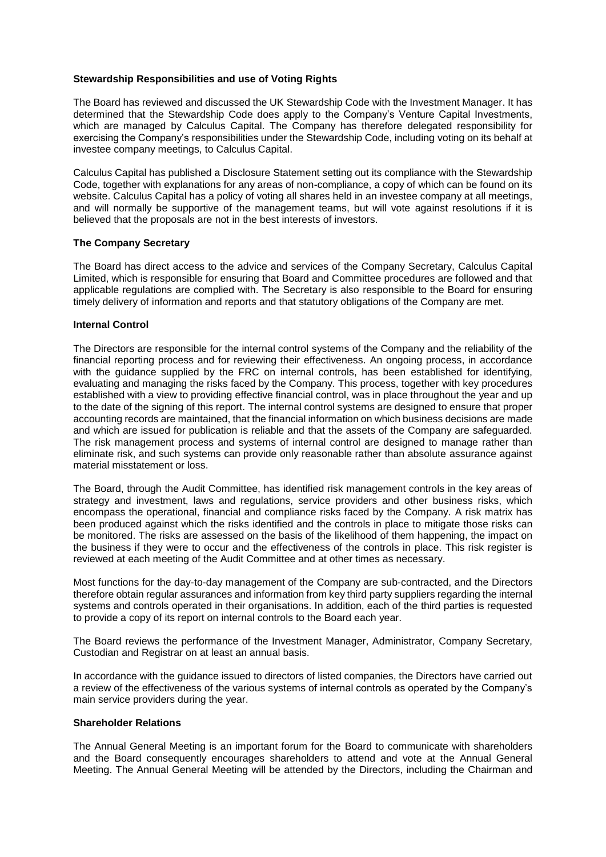# **Stewardship Responsibilities and use of Voting Rights**

The Board has reviewed and discussed the UK Stewardship Code with the Investment Manager. It has determined that the Stewardship Code does apply to the Company's Venture Capital Investments, which are managed by Calculus Capital. The Company has therefore delegated responsibility for exercising the Company's responsibilities under the Stewardship Code, including voting on its behalf at investee company meetings, to Calculus Capital.

Calculus Capital has published a Disclosure Statement setting out its compliance with the Stewardship Code, together with explanations for any areas of non-compliance, a copy of which can be found on its website. Calculus Capital has a policy of voting all shares held in an investee company at all meetings, and will normally be supportive of the management teams, but will vote against resolutions if it is believed that the proposals are not in the best interests of investors.

# **The Company Secretary**

The Board has direct access to the advice and services of the Company Secretary, Calculus Capital Limited, which is responsible for ensuring that Board and Committee procedures are followed and that applicable regulations are complied with. The Secretary is also responsible to the Board for ensuring timely delivery of information and reports and that statutory obligations of the Company are met.

# **Internal Control**

The Directors are responsible for the internal control systems of the Company and the reliability of the financial reporting process and for reviewing their effectiveness. An ongoing process, in accordance with the guidance supplied by the FRC on internal controls, has been established for identifying, evaluating and managing the risks faced by the Company. This process, together with key procedures established with a view to providing effective financial control, was in place throughout the year and up to the date of the signing of this report. The internal control systems are designed to ensure that proper accounting records are maintained, that the financial information on which business decisions are made and which are issued for publication is reliable and that the assets of the Company are safeguarded. The risk management process and systems of internal control are designed to manage rather than eliminate risk, and such systems can provide only reasonable rather than absolute assurance against material misstatement or loss.

The Board, through the Audit Committee, has identified risk management controls in the key areas of strategy and investment, laws and regulations, service providers and other business risks, which encompass the operational, financial and compliance risks faced by the Company. A risk matrix has been produced against which the risks identified and the controls in place to mitigate those risks can be monitored. The risks are assessed on the basis of the likelihood of them happening, the impact on the business if they were to occur and the effectiveness of the controls in place. This risk register is reviewed at each meeting of the Audit Committee and at other times as necessary.

Most functions for the day-to-day management of the Company are sub-contracted, and the Directors therefore obtain regular assurances and information from key third party suppliers regarding the internal systems and controls operated in their organisations. In addition, each of the third parties is requested to provide a copy of its report on internal controls to the Board each year.

The Board reviews the performance of the Investment Manager, Administrator, Company Secretary, Custodian and Registrar on at least an annual basis.

In accordance with the guidance issued to directors of listed companies, the Directors have carried out a review of the effectiveness of the various systems of internal controls as operated by the Company's main service providers during the year.

# **Shareholder Relations**

The Annual General Meeting is an important forum for the Board to communicate with shareholders and the Board consequently encourages shareholders to attend and vote at the Annual General Meeting. The Annual General Meeting will be attended by the Directors, including the Chairman and